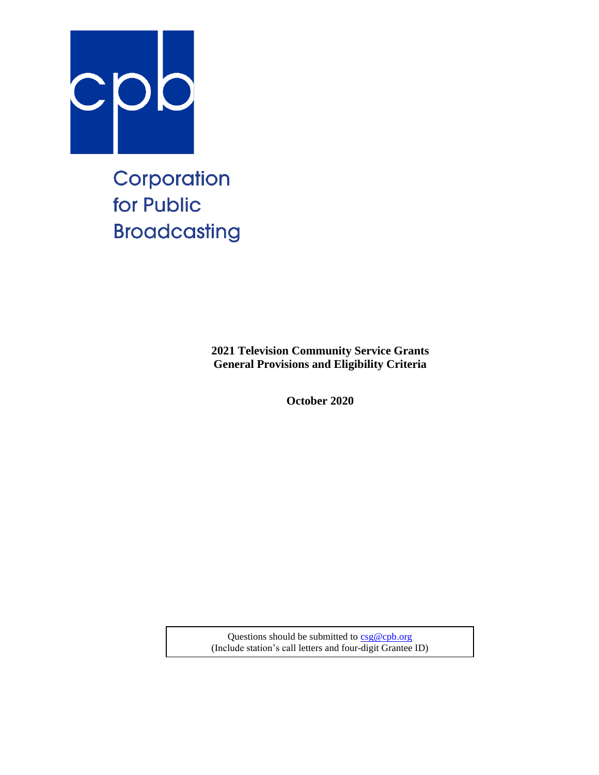

Corporation for Public **Broadcasting** 

> **2021 Television Community Service Grants General Provisions and Eligibility Criteria**

> > **October 2020**

Questions should be submitted to  $csg@cpb.org$ (Include station's call letters and four-digit Grantee ID)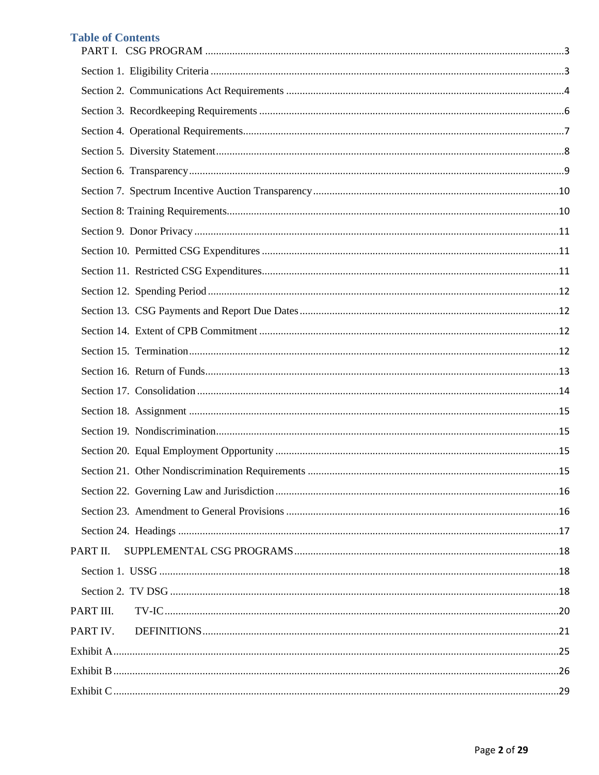# **Table of Contents**

| PART II.  |  |
|-----------|--|
|           |  |
|           |  |
| PART III. |  |
| PART IV.  |  |
|           |  |
|           |  |
|           |  |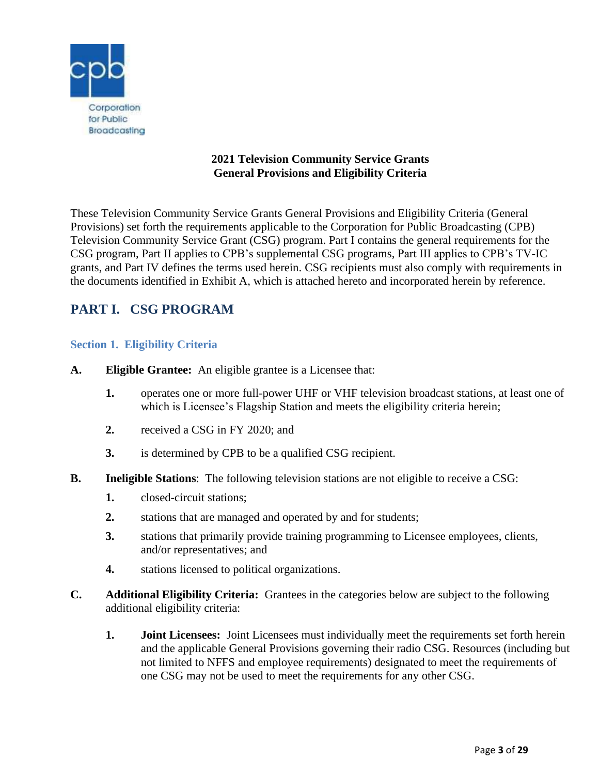

# **2021 Television Community Service Grants General Provisions and Eligibility Criteria**

These Television Community Service Grants General Provisions and Eligibility Criteria (General Provisions) set forth the requirements applicable to the Corporation for Public Broadcasting (CPB) Television Community Service Grant (CSG) program. Part I contains the general requirements for the CSG program, Part II applies to CPB's supplemental CSG programs, Part III applies to CPB's TV-IC grants, and Part IV defines the terms used herein. CSG recipients must also comply with requirements in the documents identified in Exhibit A, which is attached hereto and incorporated herein by reference.

# <span id="page-2-0"></span>**PART I. CSG PROGRAM**

# <span id="page-2-1"></span>**Section 1. Eligibility Criteria**

- **A. Eligible Grantee:** An eligible grantee is a Licensee that:
	- **1.** operates one or more full-power UHF or VHF television broadcast stations, at least one of which is Licensee's Flagship Station and meets the eligibility criteria herein;
	- **2.** received a CSG in FY 2020; and
	- **3.** is determined by CPB to be a qualified CSG recipient.
- **B.** Ineligible Stations: The following television stations are not eligible to receive a CSG:
	- **1.** closed-circuit stations;
	- **2.** stations that are managed and operated by and for students;
	- **3.** stations that primarily provide training programming to Licensee employees, clients, and/or representatives; and
	- **4.** stations licensed to political organizations.
- **C. Additional Eligibility Criteria:** Grantees in the categories below are subject to the following additional eligibility criteria:
	- **1. Joint Licensees:** Joint Licensees must individually meet the requirements set forth herein and the applicable General Provisions governing their radio CSG. Resources (including but not limited to NFFS and employee requirements) designated to meet the requirements of one CSG may not be used to meet the requirements for any other CSG.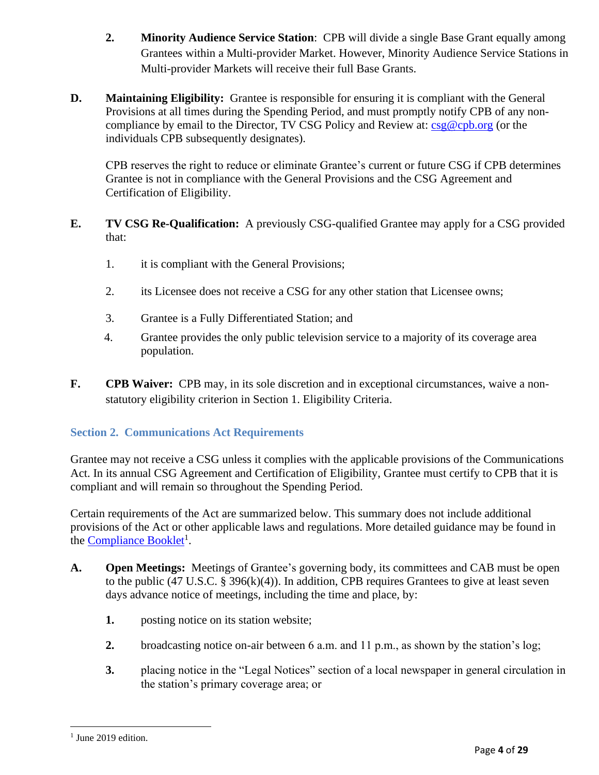- **2. Minority Audience Service Station**: CPB will divide a single Base Grant equally among Grantees within a Multi-provider Market. However, Minority Audience Service Stations in Multi-provider Markets will receive their full Base Grants.
- **D. Maintaining Eligibility:** Grantee is responsible for ensuring it is compliant with the General Provisions at all times during the Spending Period, and must promptly notify CPB of any noncompliance by email to the Director, TV CSG Policy and Review at: [csg@cpb.org](mailto:csg@cpb.org) (or the individuals CPB subsequently designates).

CPB reserves the right to reduce or eliminate Grantee's current or future CSG if CPB determines Grantee is not in compliance with the General Provisions and the CSG Agreement and Certification of Eligibility.

- **E. TV CSG Re-Qualification:** A previously CSG-qualified Grantee may apply for a CSG provided that:
	- 1. it is compliant with the General Provisions;
	- 2. its Licensee does not receive a CSG for any other station that Licensee owns;
	- 3. Grantee is a Fully Differentiated Station; and
	- 4. Grantee provides the only public television service to a majority of its coverage area population.
- **F. CPB Waiver:** CPB may, in its sole discretion and in exceptional circumstances, waive a nonstatutory eligibility criterion in Section 1. Eligibility Criteria.

# <span id="page-3-0"></span>**Section 2. Communications Act Requirements**

Grantee may not receive a CSG unless it complies with the applicable provisions of the Communications Act. In its annual CSG Agreement and Certification of Eligibility, Grantee must certify to CPB that it is compliant and will remain so throughout the Spending Period.

Certain requirements of the Act are summarized below. This summary does not include additional provisions of the Act or other applicable laws and regulations. More detailed guidance may be found in the **Compliance Booklet**<sup>1</sup>.

- **A. Open Meetings:** Meetings of Grantee's governing body, its committees and CAB must be open to the public (47 U.S.C. § 396(k)(4)). In addition, CPB requires Grantees to give at least seven days advance notice of meetings, including the time and place, by:
	- **1.** posting notice on its station website;
	- **2.** broadcasting notice on-air between 6 a.m. and 11 p.m., as shown by the station's log;
	- **3.** placing notice in the "Legal Notices" section of a local newspaper in general circulation in the station's primary coverage area; or

<sup>&</sup>lt;sup>1</sup> June 2019 edition.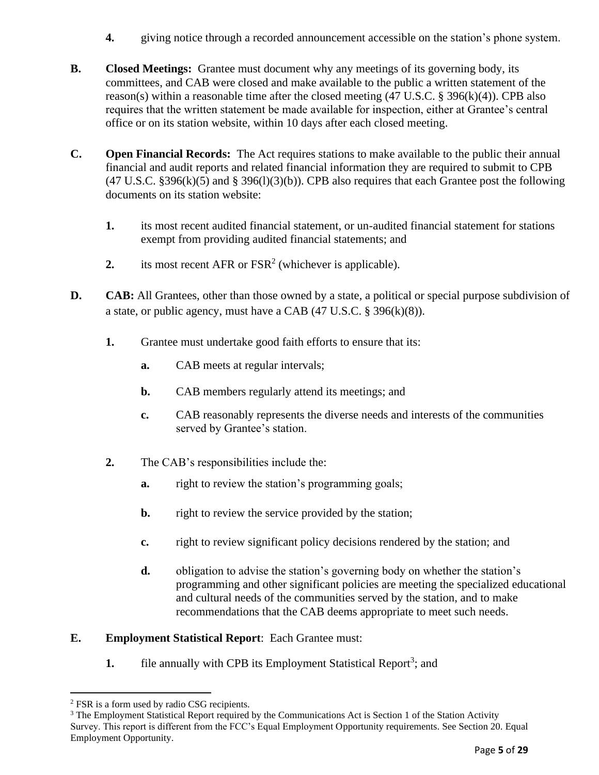- **4.** giving notice through a recorded announcement accessible on the station's phone system.
- **B. Closed Meetings:** Grantee must document why any meetings of its governing body, its committees, and CAB were closed and make available to the public a written statement of the reason(s) within a reasonable time after the closed meeting (47 U.S.C. § 396(k)(4)). CPB also requires that the written statement be made available for inspection, either at Grantee's central office or on its station website, within 10 days after each closed meeting.
- **C. Open Financial Records:** The Act requires stations to make available to the public their annual financial and audit reports and related financial information they are required to submit to CPB  $(47 \text{ U.S.C. }$  §396(k)(5) and § 396(l)(3)(b)). CPB also requires that each Grantee post the following documents on its station website:
	- **1.** its most recent audited financial statement, or un-audited financial statement for stations exempt from providing audited financial statements; and
	- 2. its most recent  $AFR$  or  $FSR<sup>2</sup>$  (whichever is applicable).
- **D. CAB:** All Grantees, other than those owned by a state, a political or special purpose subdivision of a state, or public agency, must have a CAB (47 U.S.C. § 396(k)(8)).
	- **1.** Grantee must undertake good faith efforts to ensure that its:
		- **a.** CAB meets at regular intervals;
		- **b.** CAB members regularly attend its meetings; and
		- **c.** CAB reasonably represents the diverse needs and interests of the communities served by Grantee's station.
	- **2.** The CAB's responsibilities include the:
		- **a.** right to review the station's programming goals;
		- **b.** right to review the service provided by the station;
		- **c.** right to review significant policy decisions rendered by the station; and
		- **d.** obligation to advise the station's governing body on whether the station's programming and other significant policies are meeting the specialized educational and cultural needs of the communities served by the station, and to make recommendations that the CAB deems appropriate to meet such needs.

# **E. Employment Statistical Report**: Each Grantee must:

**1.** file annually with CPB its Employment Statistical Report<sup>3</sup>; and

<sup>2</sup> FSR is a form used by radio CSG recipients.

<sup>&</sup>lt;sup>3</sup> The Employment Statistical Report required by the Communications Act is Section 1 of the Station Activity Survey. This report is different from the FCC's Equal Employment Opportunity requirements. See Section 20. Equal Employment Opportunity.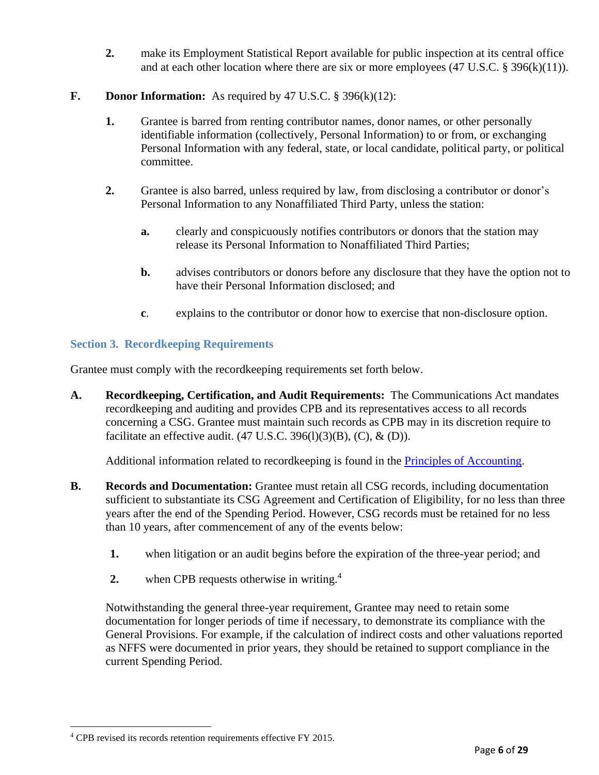**2.** make its Employment Statistical Report available for public inspection at its central office and at each other location where there are six or more employees (47 U.S.C. § 396(k)(11)).

# **F. Donor Information:** As required by 47 U.S.C. § 396(k)(12):

- **1.** Grantee is barred from renting contributor names, donor names, or other personally identifiable information (collectively, Personal Information) to or from, or exchanging Personal Information with any federal, state, or local candidate, political party, or political committee.
- **2.** Grantee is also barred, unless required by law, from disclosing a contributor or donor's Personal Information to any Nonaffiliated Third Party, unless the station:
	- **a.** clearly and conspicuously notifies contributors or donors that the station may release its Personal Information to Nonaffiliated Third Parties;
	- **b.** advises contributors or donors before any disclosure that they have the option not to have their Personal Information disclosed; and
	- **c**. explains to the contributor or donor how to exercise that non-disclosure option.

# <span id="page-5-0"></span>**Section 3. Recordkeeping Requirements**

Grantee must comply with the recordkeeping requirements set forth below.

**A. Recordkeeping, Certification, and Audit Requirements:** The Communications Act mandates recordkeeping and auditing and provides CPB and its representatives access to all records concerning a CSG. Grantee must maintain such records as CPB may in its discretion require to facilitate an effective audit.  $(47 \text{ U.S.C. } 396(1)(3)(B), (C), \& (D)).$ 

Additional information related to recordkeeping is found in the *Principles of Accounting*.

- **B. Records and Documentation:** Grantee must retain all CSG records, including documentation sufficient to substantiate its CSG Agreement and Certification of Eligibility, for no less than three years after the end of the Spending Period. However, CSG records must be retained for no less than 10 years, after commencement of any of the events below:
	- **1.** when litigation or an audit begins before the expiration of the three-year period; and
	- **2.** when CPB requests otherwise in writing.<sup>4</sup>

Notwithstanding the general three-year requirement, Grantee may need to retain some documentation for longer periods of time if necessary, to demonstrate its compliance with the General Provisions. For example, if the calculation of indirect costs and other valuations reported as NFFS were documented in prior years, they should be retained to support compliance in the current Spending Period.

<sup>4</sup> CPB revised its records retention requirements effective FY 2015.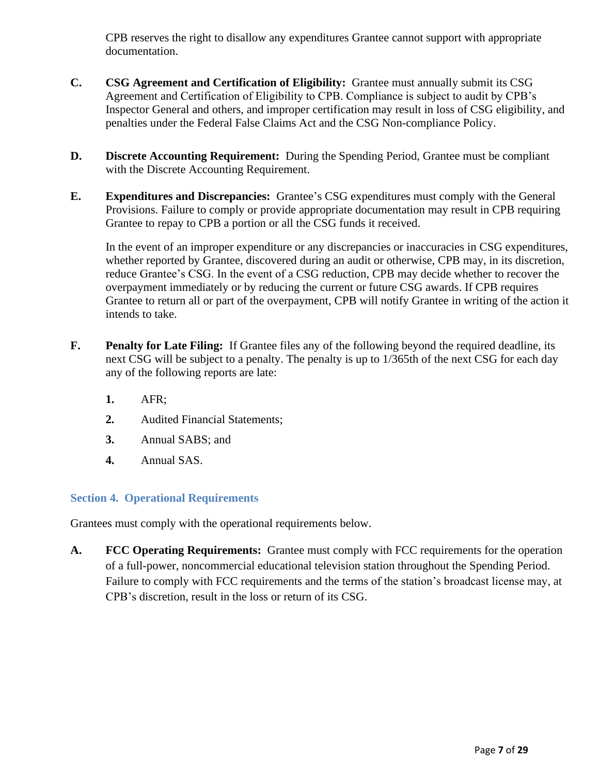CPB reserves the right to disallow any expenditures Grantee cannot support with appropriate documentation.

- **C. CSG Agreement and Certification of Eligibility:** Grantee must annually submit its CSG Agreement and Certification of Eligibility to CPB. Compliance is subject to audit by CPB's Inspector General and others, and improper certification may result in loss of CSG eligibility, and penalties under the Federal False Claims Act and the CSG Non-compliance Policy.
- **D. Discrete Accounting Requirement:** During the Spending Period, Grantee must be compliant with the Discrete Accounting Requirement.
- **E. Expenditures and Discrepancies:** Grantee's CSG expenditures must comply with the General Provisions. Failure to comply or provide appropriate documentation may result in CPB requiring Grantee to repay to CPB a portion or all the CSG funds it received.

In the event of an improper expenditure or any discrepancies or inaccuracies in CSG expenditures, whether reported by Grantee, discovered during an audit or otherwise, CPB may, in its discretion, reduce Grantee's CSG. In the event of a CSG reduction, CPB may decide whether to recover the overpayment immediately or by reducing the current or future CSG awards. If CPB requires Grantee to return all or part of the overpayment, CPB will notify Grantee in writing of the action it intends to take.

- **F. Penalty for Late Filing:** If Grantee files any of the following beyond the required deadline, its next CSG will be subject to a penalty. The penalty is up to 1/365th of the next CSG for each day any of the following reports are late:
	- **1.** AFR;
	- **2.** Audited Financial Statements;
	- **3.** Annual SABS; and
	- **4.** Annual SAS.

# <span id="page-6-0"></span>**Section 4. Operational Requirements**

Grantees must comply with the operational requirements below.

**A. FCC Operating Requirements:** Grantee must comply with FCC requirements for the operation of a full-power, noncommercial educational television station throughout the Spending Period. Failure to comply with FCC requirements and the terms of the station's broadcast license may, at CPB's discretion, result in the loss or return of its CSG.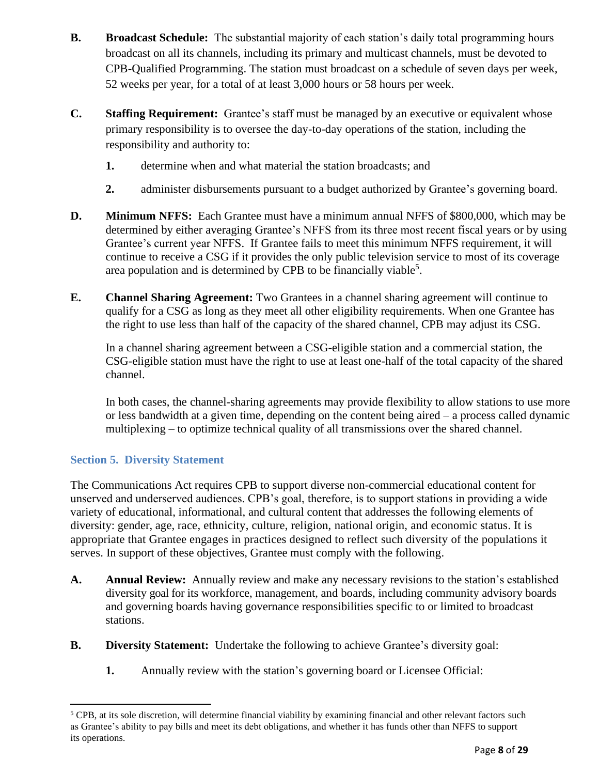- **B. Broadcast Schedule:** The substantial majority of each station's daily total programming hours broadcast on all its channels, including its primary and multicast channels, must be devoted to CPB-Qualified Programming. The station must broadcast on a schedule of seven days per week, 52 weeks per year, for a total of at least 3,000 hours or 58 hours per week.
- **C. Staffing Requirement:** Grantee's staff must be managed by an executive or equivalent whose primary responsibility is to oversee the day-to-day operations of the station, including the responsibility and authority to:
	- **1.** determine when and what material the station broadcasts; and
	- **2.** administer disbursements pursuant to a budget authorized by Grantee's governing board.
- **D. Minimum NFFS:** Each Grantee must have a minimum annual NFFS of \$800,000, which may be determined by either averaging Grantee's NFFS from its three most recent fiscal years or by using Grantee's current year NFFS. If Grantee fails to meet this minimum NFFS requirement, it will continue to receive a CSG if it provides the only public television service to most of its coverage area population and is determined by CPB to be financially viable<sup>5</sup>.
- **E. Channel Sharing Agreement:** Two Grantees in a channel sharing agreement will continue to qualify for a CSG as long as they meet all other eligibility requirements. When one Grantee has the right to use less than half of the capacity of the shared channel, CPB may adjust its CSG.

In a channel sharing agreement between a CSG-eligible station and a commercial station, the CSG-eligible station must have the right to use at least one-half of the total capacity of the shared channel.

In both cases, the channel-sharing agreements may provide flexibility to allow stations to use more or less bandwidth at a given time, depending on the content being aired – a process called dynamic multiplexing – to optimize technical quality of all transmissions over the shared channel.

# <span id="page-7-0"></span>**Section 5. Diversity Statement**

The Communications Act requires CPB to support diverse non-commercial educational content for unserved and underserved audiences. CPB's goal, therefore, is to support stations in providing a wide variety of educational, informational, and cultural content that addresses the following elements of diversity: gender, age, race, ethnicity, culture, religion, national origin, and economic status. It is appropriate that Grantee engages in practices designed to reflect such diversity of the populations it serves. In support of these objectives, Grantee must comply with the following.

- **A. Annual Review:** Annually review and make any necessary revisions to the station's established diversity goal for its workforce, management, and boards, including community advisory boards and governing boards having governance responsibilities specific to or limited to broadcast stations.
- **B. Diversity Statement:** Undertake the following to achieve Grantee's diversity goal:
	- **1.** Annually review with the station's governing board or Licensee Official:

<sup>5</sup> CPB, at its sole discretion, will determine financial viability by examining financial and other relevant factors such as Grantee's ability to pay bills and meet its debt obligations, and whether it has funds other than NFFS to support its operations.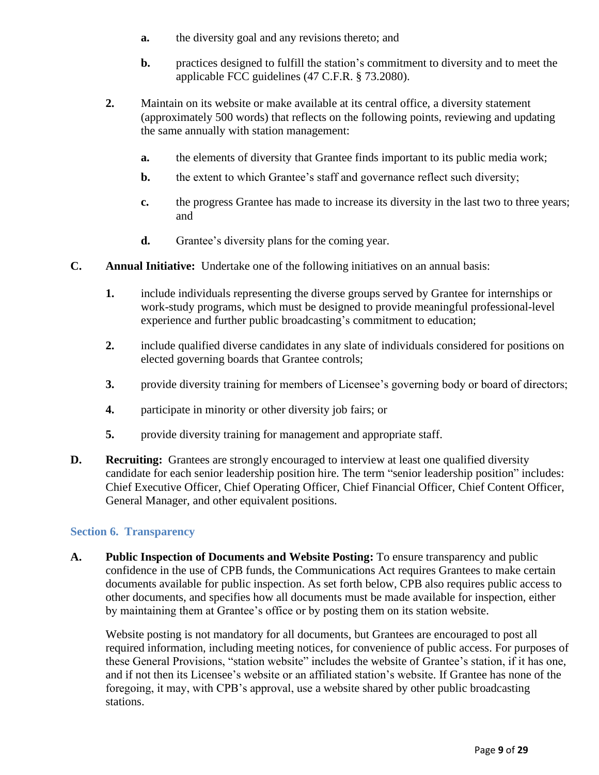- **a.** the diversity goal and any revisions thereto; and
- **b.** practices designed to fulfill the station's commitment to diversity and to meet the applicable FCC guidelines (47 C.F.R. § 73.2080).
- **2.** Maintain on its website or make available at its central office, a diversity statement (approximately 500 words) that reflects on the following points, reviewing and updating the same annually with station management:
	- **a.** the elements of diversity that Grantee finds important to its public media work;
	- **b.** the extent to which Grantee's staff and governance reflect such diversity;
	- **c.** the progress Grantee has made to increase its diversity in the last two to three years; and
	- **d.** Grantee's diversity plans for the coming year.
- **C. Annual Initiative:** Undertake one of the following initiatives on an annual basis:
	- **1.** include individuals representing the diverse groups served by Grantee for internships or work-study programs, which must be designed to provide meaningful professional-level experience and further public broadcasting's commitment to education;
	- **2.** include qualified diverse candidates in any slate of individuals considered for positions on elected governing boards that Grantee controls;
	- **3.** provide diversity training for members of Licensee's governing body or board of directors;
	- **4.** participate in minority or other diversity job fairs; or
	- **5.** provide diversity training for management and appropriate staff.
- **D. Recruiting:** Grantees are strongly encouraged to interview at least one qualified diversity candidate for each senior leadership position hire. The term "senior leadership position" includes: Chief Executive Officer, Chief Operating Officer, Chief Financial Officer, Chief Content Officer, General Manager, and other equivalent positions.

#### <span id="page-8-0"></span>**Section 6. Transparency**

**A. Public Inspection of Documents and Website Posting:** To ensure transparency and public confidence in the use of CPB funds, the Communications Act requires Grantees to make certain documents available for public inspection. As set forth below, CPB also requires public access to other documents, and specifies how all documents must be made available for inspection, either by maintaining them at Grantee's office or by posting them on its station website.

Website posting is not mandatory for all documents, but Grantees are encouraged to post all required information, including meeting notices, for convenience of public access. For purposes of these General Provisions, "station website" includes the website of Grantee's station, if it has one, and if not then its Licensee's website or an affiliated station's website. If Grantee has none of the foregoing, it may, with CPB's approval, use a website shared by other public broadcasting stations.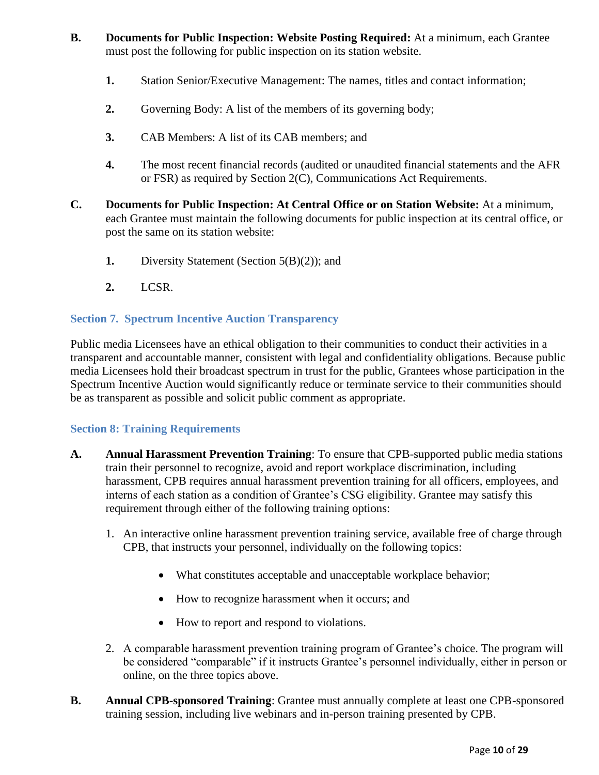- **B. Documents for Public Inspection: Website Posting Required:** At a minimum, each Grantee must post the following for public inspection on its station website.
	- **1.** Station Senior/Executive Management: The names, titles and contact information;
	- **2.** Governing Body: A list of the members of its governing body;
	- **3.** CAB Members: A list of its CAB members; and
	- **4.** The most recent financial records (audited or unaudited financial statements and the AFR or FSR) as required by Section 2(C), Communications Act Requirements.
- **C. Documents for Public Inspection: At Central Office or on Station Website:** At a minimum, each Grantee must maintain the following documents for public inspection at its central office, or post the same on its station website:
	- **1.** Diversity Statement (Section 5(B)(2)); and
	- **2.** LCSR.

# <span id="page-9-0"></span>**Section 7. Spectrum Incentive Auction Transparency**

Public media Licensees have an ethical obligation to their communities to conduct their activities in a transparent and accountable manner, consistent with legal and confidentiality obligations. Because public media Licensees hold their broadcast spectrum in trust for the public, Grantees whose participation in the Spectrum Incentive Auction would significantly reduce or terminate service to their communities should be as transparent as possible and solicit public comment as appropriate.

# <span id="page-9-1"></span>**Section 8: Training Requirements**

- **A. Annual Harassment Prevention Training**: To ensure that CPB-supported public media stations train their personnel to recognize, avoid and report workplace discrimination, including harassment, CPB requires annual harassment prevention training for all officers, employees, and interns of each station as a condition of Grantee's CSG eligibility. Grantee may satisfy this requirement through either of the following training options:
	- 1. An interactive online harassment prevention training service, available free of charge through CPB, that instructs your personnel, individually on the following topics:
		- What constitutes acceptable and unacceptable workplace behavior;
		- How to recognize harassment when it occurs; and
		- How to report and respond to violations.
	- 2. A comparable harassment prevention training program of Grantee's choice. The program will be considered "comparable" if it instructs Grantee's personnel individually, either in person or online, on the three topics above.
- **B. Annual CPB-sponsored Training**: Grantee must annually complete at least one CPB-sponsored training session, including live webinars and in-person training presented by CPB.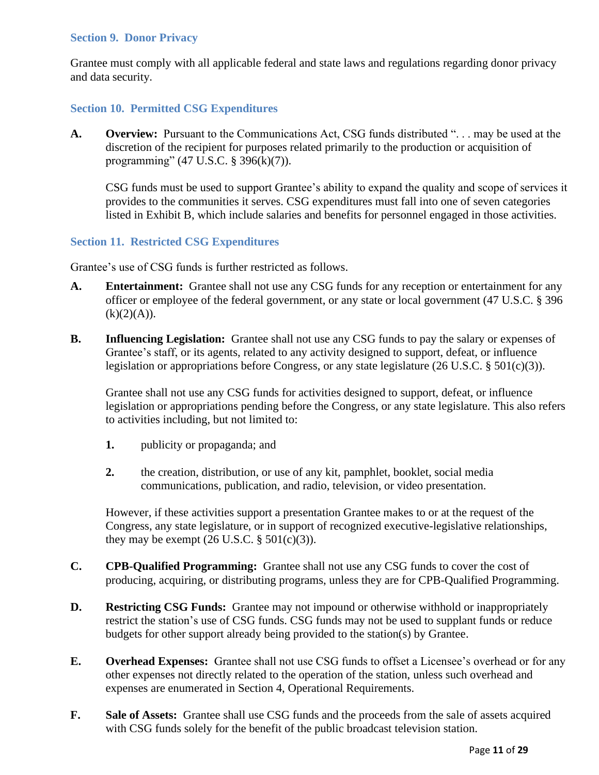#### <span id="page-10-0"></span>**Section 9. Donor Privacy**

Grantee must comply with all applicable federal and state laws and regulations regarding donor privacy and data security.

## <span id="page-10-1"></span>**Section 10. Permitted CSG Expenditures**

**A. Overview:** Pursuant to the Communications Act, CSG funds distributed ". . . may be used at the discretion of the recipient for purposes related primarily to the production or acquisition of programming" (47 U.S.C. § 396(k)(7)).

CSG funds must be used to support Grantee's ability to expand the quality and scope of services it provides to the communities it serves. CSG expenditures must fall into one of seven categories listed in Exhibit B, which include salaries and benefits for personnel engaged in those activities.

#### <span id="page-10-2"></span>**Section 11. Restricted CSG Expenditures**

Grantee's use of CSG funds is further restricted as follows.

- **A. Entertainment:** Grantee shall not use any CSG funds for any reception or entertainment for any officer or employee of the federal government, or any state or local government (47 U.S.C. § 396  $(k)(2)(A)).$
- **B. Influencing Legislation:** Grantee shall not use any CSG funds to pay the salary or expenses of Grantee's staff, or its agents, related to any activity designed to support, defeat, or influence legislation or appropriations before Congress, or any state legislature (26 U.S.C. § 501(c)(3)).

Grantee shall not use any CSG funds for activities designed to support, defeat, or influence legislation or appropriations pending before the Congress, or any state legislature. This also refers to activities including, but not limited to:

- **1.** publicity or propaganda; and
- **2.** the creation, distribution, or use of any kit, pamphlet, booklet, social media communications, publication, and radio, television, or video presentation.

However, if these activities support a presentation Grantee makes to or at the request of the Congress, any state legislature, or in support of recognized executive-legislative relationships, they may be exempt  $(26 \text{ U.S.C.} \$ §  $501(c)(3))$ .

- **C. CPB-Qualified Programming:** Grantee shall not use any CSG funds to cover the cost of producing, acquiring, or distributing programs, unless they are for CPB-Qualified Programming.
- **D. Restricting CSG Funds:** Grantee may not impound or otherwise withhold or inappropriately restrict the station's use of CSG funds. CSG funds may not be used to supplant funds or reduce budgets for other support already being provided to the station(s) by Grantee.
- **E. Overhead Expenses:** Grantee shall not use CSG funds to offset a Licensee's overhead or for any other expenses not directly related to the operation of the station, unless such overhead and expenses are enumerated in Section 4, Operational Requirements.
- **F. Sale of Assets:** Grantee shall use CSG funds and the proceeds from the sale of assets acquired with CSG funds solely for the benefit of the public broadcast television station.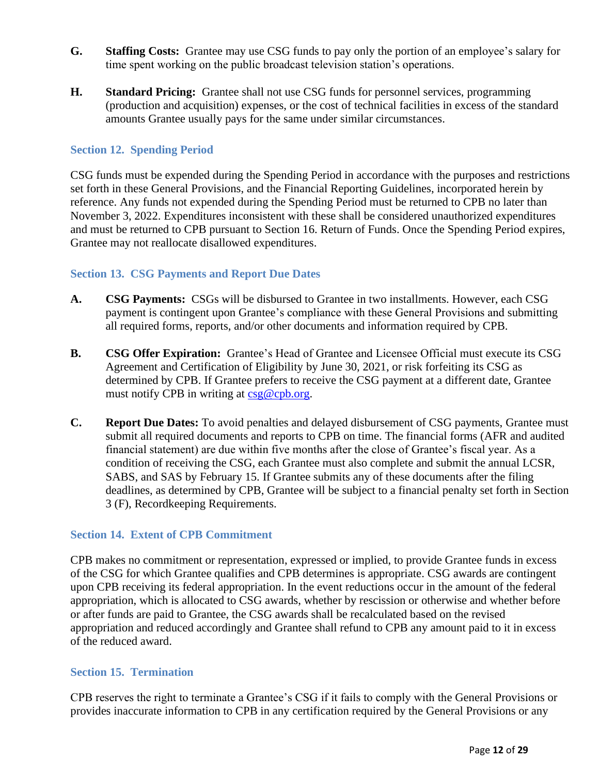- **G. Staffing Costs:** Grantee may use CSG funds to pay only the portion of an employee's salary for time spent working on the public broadcast television station's operations.
- **H. Standard Pricing:** Grantee shall not use CSG funds for personnel services, programming (production and acquisition) expenses, or the cost of technical facilities in excess of the standard amounts Grantee usually pays for the same under similar circumstances.

## <span id="page-11-0"></span>**Section 12. Spending Period**

CSG funds must be expended during the Spending Period in accordance with the purposes and restrictions set forth in these General Provisions, and the Financial Reporting Guidelines, incorporated herein by reference. Any funds not expended during the Spending Period must be returned to CPB no later than November 3, 2022. Expenditures inconsistent with these shall be considered unauthorized expenditures and must be returned to CPB pursuant to Section 16. Return of Funds. Once the Spending Period expires, Grantee may not reallocate disallowed expenditures.

#### <span id="page-11-1"></span>**Section 13. CSG Payments and Report Due Dates**

- **A. CSG Payments:** CSGs will be disbursed to Grantee in two installments. However, each CSG payment is contingent upon Grantee's compliance with these General Provisions and submitting all required forms, reports, and/or other documents and information required by CPB.
- **B. CSG Offer Expiration:** Grantee's Head of Grantee and Licensee Official must execute its CSG Agreement and Certification of Eligibility by June 30, 2021, or risk forfeiting its CSG as determined by CPB. If Grantee prefers to receive the CSG payment at a different date, Grantee must notify CPB in writing at [csg@cpb.org.](mailto:csg@cpb.org)
- **C. Report Due Dates:** To avoid penalties and delayed disbursement of CSG payments, Grantee must submit all required documents and reports to CPB on time. The financial forms (AFR and audited financial statement) are due within five months after the close of Grantee's fiscal year. As a condition of receiving the CSG, each Grantee must also complete and submit the annual LCSR, SABS, and SAS by February 15. If Grantee submits any of these documents after the filing deadlines, as determined by CPB, Grantee will be subject to a financial penalty set forth in Section 3 (F), Recordkeeping Requirements.

#### <span id="page-11-2"></span>**Section 14. Extent of CPB Commitment**

CPB makes no commitment or representation, expressed or implied, to provide Grantee funds in excess of the CSG for which Grantee qualifies and CPB determines is appropriate. CSG awards are contingent upon CPB receiving its federal appropriation. In the event reductions occur in the amount of the federal appropriation, which is allocated to CSG awards, whether by rescission or otherwise and whether before or after funds are paid to Grantee, the CSG awards shall be recalculated based on the revised appropriation and reduced accordingly and Grantee shall refund to CPB any amount paid to it in excess of the reduced award.

#### <span id="page-11-3"></span>**Section 15. Termination**

CPB reserves the right to terminate a Grantee's CSG if it fails to comply with the General Provisions or provides inaccurate information to CPB in any certification required by the General Provisions or any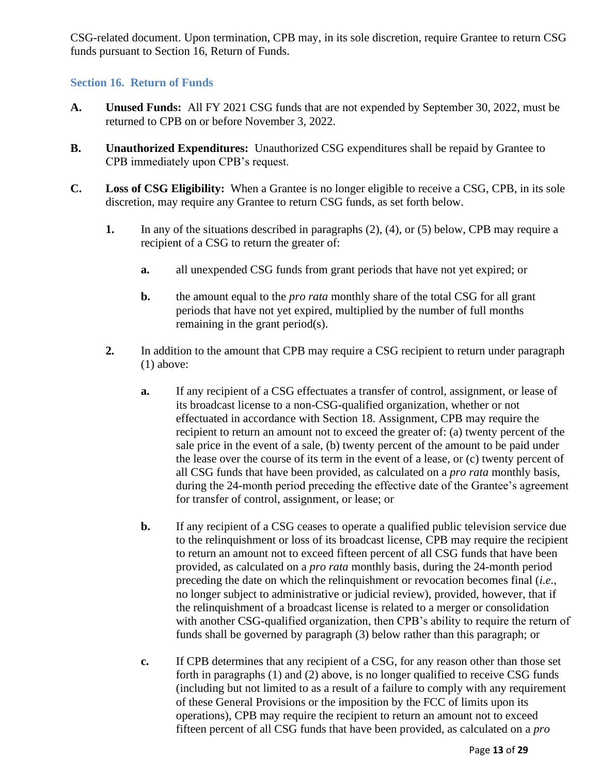CSG-related document. Upon termination, CPB may, in its sole discretion, require Grantee to return CSG funds pursuant to Section 16, Return of Funds.

# <span id="page-12-0"></span>**Section 16. Return of Funds**

- **A. Unused Funds:** All FY 2021 CSG funds that are not expended by September 30, 2022, must be returned to CPB on or before November 3, 2022.
- **B. Unauthorized Expenditures:** Unauthorized CSG expenditures shall be repaid by Grantee to CPB immediately upon CPB's request.
- **C. Loss of CSG Eligibility:** When a Grantee is no longer eligible to receive a CSG, CPB, in its sole discretion, may require any Grantee to return CSG funds, as set forth below.
	- **1.** In any of the situations described in paragraphs (2), (4), or (5) below, CPB may require a recipient of a CSG to return the greater of:
		- **a.** all unexpended CSG funds from grant periods that have not yet expired; or
		- **b.** the amount equal to the *pro rata* monthly share of the total CSG for all grant periods that have not yet expired, multiplied by the number of full months remaining in the grant period(s).
	- **2.** In addition to the amount that CPB may require a CSG recipient to return under paragraph (1) above:
		- **a.** If any recipient of a CSG effectuates a transfer of control, assignment, or lease of its broadcast license to a non-CSG-qualified organization, whether or not effectuated in accordance with Section 18. Assignment, CPB may require the recipient to return an amount not to exceed the greater of: (a) twenty percent of the sale price in the event of a sale, (b) twenty percent of the amount to be paid under the lease over the course of its term in the event of a lease, or (c) twenty percent of all CSG funds that have been provided, as calculated on a *pro rata* monthly basis, during the 24-month period preceding the effective date of the Grantee's agreement for transfer of control, assignment, or lease; or
		- **b.** If any recipient of a CSG ceases to operate a qualified public television service due to the relinquishment or loss of its broadcast license, CPB may require the recipient to return an amount not to exceed fifteen percent of all CSG funds that have been provided, as calculated on a *pro rata* monthly basis, during the 24-month period preceding the date on which the relinquishment or revocation becomes final (*i.e.*, no longer subject to administrative or judicial review), provided, however, that if the relinquishment of a broadcast license is related to a merger or consolidation with another CSG-qualified organization, then CPB's ability to require the return of funds shall be governed by paragraph (3) below rather than this paragraph; or
		- **c.** If CPB determines that any recipient of a CSG, for any reason other than those set forth in paragraphs (1) and (2) above, is no longer qualified to receive CSG funds (including but not limited to as a result of a failure to comply with any requirement of these General Provisions or the imposition by the FCC of limits upon its operations), CPB may require the recipient to return an amount not to exceed fifteen percent of all CSG funds that have been provided, as calculated on a *pro*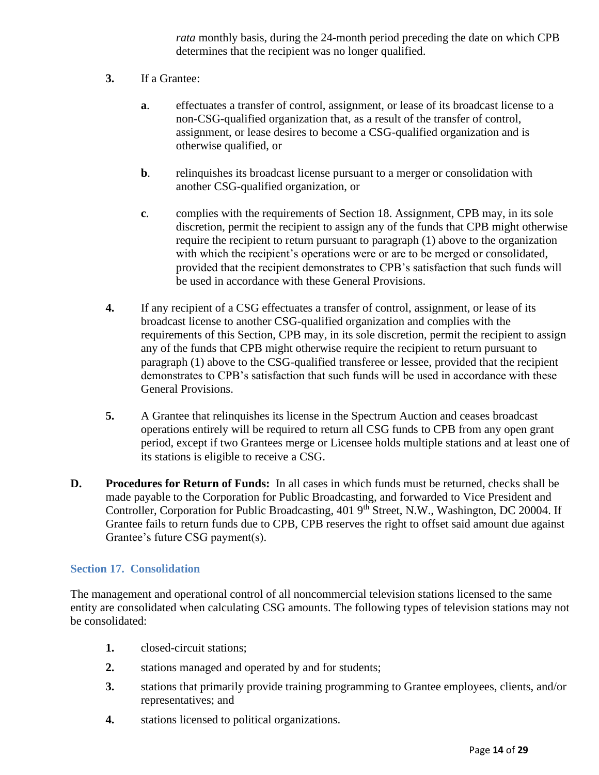*rata* monthly basis, during the 24-month period preceding the date on which CPB determines that the recipient was no longer qualified.

- **3.** If a Grantee:
	- **a**. effectuates a transfer of control, assignment, or lease of its broadcast license to a non-CSG-qualified organization that, as a result of the transfer of control, assignment, or lease desires to become a CSG-qualified organization and is otherwise qualified, or
	- **b**. relinquishes its broadcast license pursuant to a merger or consolidation with another CSG-qualified organization, or
	- **c**. complies with the requirements of Section 18. Assignment, CPB may, in its sole discretion, permit the recipient to assign any of the funds that CPB might otherwise require the recipient to return pursuant to paragraph (1) above to the organization with which the recipient's operations were or are to be merged or consolidated, provided that the recipient demonstrates to CPB's satisfaction that such funds will be used in accordance with these General Provisions.
- **4.** If any recipient of a CSG effectuates a transfer of control, assignment, or lease of its broadcast license to another CSG-qualified organization and complies with the requirements of this Section, CPB may, in its sole discretion, permit the recipient to assign any of the funds that CPB might otherwise require the recipient to return pursuant to paragraph (1) above to the CSG-qualified transferee or lessee, provided that the recipient demonstrates to CPB's satisfaction that such funds will be used in accordance with these General Provisions.
- **5.** A Grantee that relinquishes its license in the Spectrum Auction and ceases broadcast operations entirely will be required to return all CSG funds to CPB from any open grant period, except if two Grantees merge or Licensee holds multiple stations and at least one of its stations is eligible to receive a CSG.
- **D. Procedures for Return of Funds:** In all cases in which funds must be returned, checks shall be made payable to the Corporation for Public Broadcasting, and forwarded to Vice President and Controller, Corporation for Public Broadcasting, 401 9<sup>th</sup> Street, N.W., Washington, DC 20004. If Grantee fails to return funds due to CPB, CPB reserves the right to offset said amount due against Grantee's future CSG payment(s).

#### <span id="page-13-0"></span>**Section 17. Consolidation**

The management and operational control of all noncommercial television stations licensed to the same entity are consolidated when calculating CSG amounts. The following types of television stations may not be consolidated:

- **1.** closed-circuit stations;
- **2.** stations managed and operated by and for students;
- **3.** stations that primarily provide training programming to Grantee employees, clients, and/or representatives; and
- **4.** stations licensed to political organizations.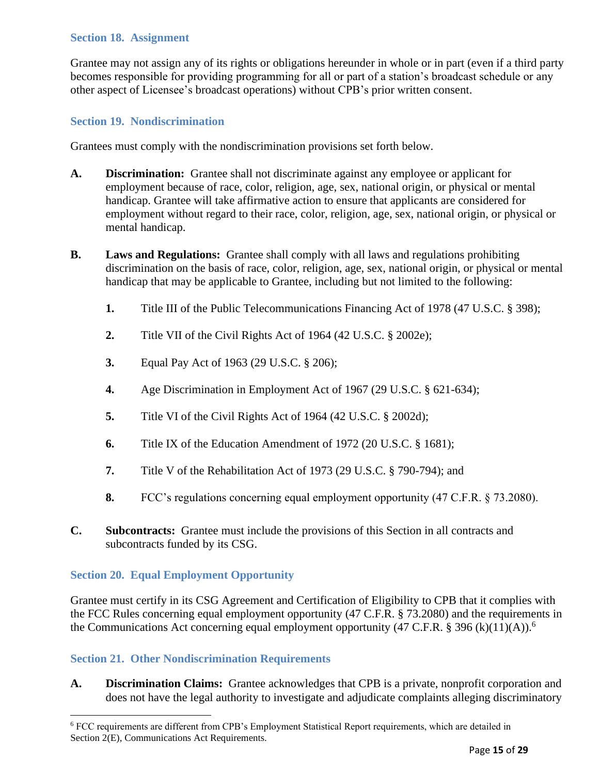## <span id="page-14-0"></span>**Section 18. Assignment**

Grantee may not assign any of its rights or obligations hereunder in whole or in part (even if a third party becomes responsible for providing programming for all or part of a station's broadcast schedule or any other aspect of Licensee's broadcast operations) without CPB's prior written consent.

## <span id="page-14-1"></span>**Section 19. Nondiscrimination**

Grantees must comply with the nondiscrimination provisions set forth below.

- **A. Discrimination:** Grantee shall not discriminate against any employee or applicant for employment because of race, color, religion, age, sex, national origin, or physical or mental handicap. Grantee will take affirmative action to ensure that applicants are considered for employment without regard to their race, color, religion, age, sex, national origin, or physical or mental handicap.
- **B. Laws and Regulations:** Grantee shall comply with all laws and regulations prohibiting discrimination on the basis of race, color, religion, age, sex, national origin, or physical or mental handicap that may be applicable to Grantee, including but not limited to the following:
	- **1.** Title III of the Public Telecommunications Financing Act of 1978 (47 U.S.C. § 398);
	- **2.** Title VII of the Civil Rights Act of 1964 (42 U.S.C. § 2002e);
	- **3.** Equal Pay Act of 1963 (29 U.S.C. § 206);
	- **4.** Age Discrimination in Employment Act of 1967 (29 U.S.C. § 621-634);
	- **5.** Title VI of the Civil Rights Act of 1964 (42 U.S.C. § 2002d);
	- **6.** Title IX of the Education Amendment of 1972 (20 U.S.C. § 1681);
	- **7.** Title V of the Rehabilitation Act of 1973 (29 U.S.C. § 790-794); and
	- **8.** FCC's regulations concerning equal employment opportunity (47 C.F.R. § 73.2080).
- **C. Subcontracts:** Grantee must include the provisions of this Section in all contracts and subcontracts funded by its CSG.

#### <span id="page-14-2"></span>**Section 20. Equal Employment Opportunity**

Grantee must certify in its CSG Agreement and Certification of Eligibility to CPB that it complies with the FCC Rules concerning equal employment opportunity (47 C.F.R. § 73.2080) and the requirements in the Communications Act concerning equal employment opportunity (47 C.F.R. § 396 (k)(11)(A)).<sup>6</sup>

#### <span id="page-14-3"></span>**Section 21. Other Nondiscrimination Requirements**

**A. Discrimination Claims:** Grantee acknowledges that CPB is a private, nonprofit corporation and does not have the legal authority to investigate and adjudicate complaints alleging discriminatory

<sup>6</sup> FCC requirements are different from CPB's Employment Statistical Report requirements, which are detailed in Section 2(E), Communications Act Requirements.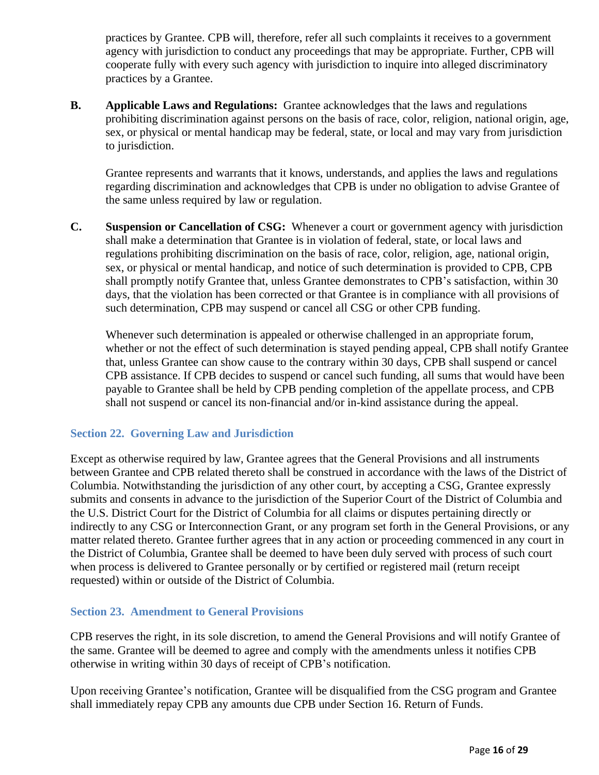practices by Grantee. CPB will, therefore, refer all such complaints it receives to a government agency with jurisdiction to conduct any proceedings that may be appropriate. Further, CPB will cooperate fully with every such agency with jurisdiction to inquire into alleged discriminatory practices by a Grantee.

**B. Applicable Laws and Regulations:** Grantee acknowledges that the laws and regulations prohibiting discrimination against persons on the basis of race, color, religion, national origin, age, sex, or physical or mental handicap may be federal, state, or local and may vary from jurisdiction to jurisdiction.

Grantee represents and warrants that it knows, understands, and applies the laws and regulations regarding discrimination and acknowledges that CPB is under no obligation to advise Grantee of the same unless required by law or regulation.

**C. Suspension or Cancellation of CSG:** Whenever a court or government agency with jurisdiction shall make a determination that Grantee is in violation of federal, state, or local laws and regulations prohibiting discrimination on the basis of race, color, religion, age, national origin, sex, or physical or mental handicap, and notice of such determination is provided to CPB, CPB shall promptly notify Grantee that, unless Grantee demonstrates to CPB's satisfaction, within 30 days, that the violation has been corrected or that Grantee is in compliance with all provisions of such determination, CPB may suspend or cancel all CSG or other CPB funding.

Whenever such determination is appealed or otherwise challenged in an appropriate forum, whether or not the effect of such determination is stayed pending appeal, CPB shall notify Grantee that, unless Grantee can show cause to the contrary within 30 days, CPB shall suspend or cancel CPB assistance. If CPB decides to suspend or cancel such funding, all sums that would have been payable to Grantee shall be held by CPB pending completion of the appellate process, and CPB shall not suspend or cancel its non-financial and/or in-kind assistance during the appeal.

# <span id="page-15-0"></span>**Section 22. Governing Law and Jurisdiction**

Except as otherwise required by law, Grantee agrees that the General Provisions and all instruments between Grantee and CPB related thereto shall be construed in accordance with the laws of the District of Columbia. Notwithstanding the jurisdiction of any other court, by accepting a CSG, Grantee expressly submits and consents in advance to the jurisdiction of the Superior Court of the District of Columbia and the U.S. District Court for the District of Columbia for all claims or disputes pertaining directly or indirectly to any CSG or Interconnection Grant, or any program set forth in the General Provisions, or any matter related thereto. Grantee further agrees that in any action or proceeding commenced in any court in the District of Columbia, Grantee shall be deemed to have been duly served with process of such court when process is delivered to Grantee personally or by certified or registered mail (return receipt requested) within or outside of the District of Columbia.

#### <span id="page-15-1"></span>**Section 23. Amendment to General Provisions**

CPB reserves the right, in its sole discretion, to amend the General Provisions and will notify Grantee of the same. Grantee will be deemed to agree and comply with the amendments unless it notifies CPB otherwise in writing within 30 days of receipt of CPB's notification.

Upon receiving Grantee's notification, Grantee will be disqualified from the CSG program and Grantee shall immediately repay CPB any amounts due CPB under Section 16. Return of Funds.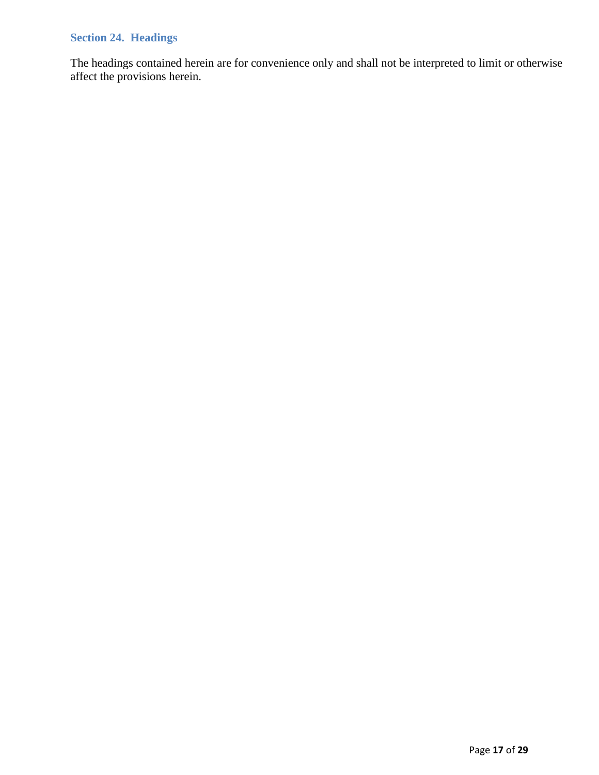# <span id="page-16-0"></span>**Section 24. Headings**

The headings contained herein are for convenience only and shall not be interpreted to limit or otherwise affect the provisions herein.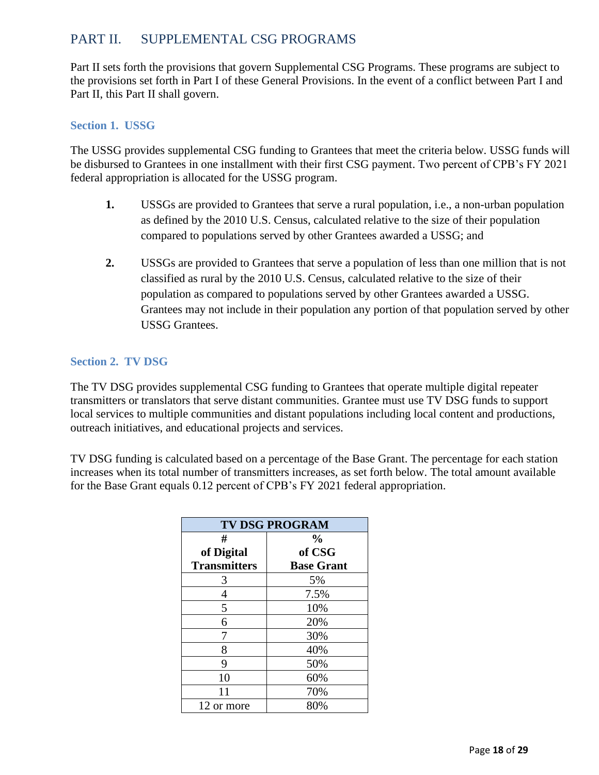# <span id="page-17-0"></span>PART II. SUPPLEMENTAL CSG PROGRAMS

Part II sets forth the provisions that govern Supplemental CSG Programs. These programs are subject to the provisions set forth in Part I of these General Provisions. In the event of a conflict between Part I and Part II, this Part II shall govern.

# <span id="page-17-1"></span>**Section 1. USSG**

The USSG provides supplemental CSG funding to Grantees that meet the criteria below. USSG funds will be disbursed to Grantees in one installment with their first CSG payment. Two percent of CPB's FY 2021 federal appropriation is allocated for the USSG program.

- **1.** USSGs are provided to Grantees that serve a rural population, i.e., a non-urban population as defined by the 2010 U.S. Census, calculated relative to the size of their population compared to populations served by other Grantees awarded a USSG; and
- **2.** USSGs are provided to Grantees that serve a population of less than one million that is not classified as rural by the 2010 U.S. Census, calculated relative to the size of their population as compared to populations served by other Grantees awarded a USSG. Grantees may not include in their population any portion of that population served by other USSG Grantees.

# <span id="page-17-2"></span>**Section 2. TV DSG**

The TV DSG provides supplemental CSG funding to Grantees that operate multiple digital repeater transmitters or translators that serve distant communities. Grantee must use TV DSG funds to support local services to multiple communities and distant populations including local content and productions, outreach initiatives, and educational projects and services.

TV DSG funding is calculated based on a percentage of the Base Grant. The percentage for each station increases when its total number of transmitters increases, as set forth below. The total amount available for the Base Grant equals 0.12 percent of CPB's FY 2021 federal appropriation.

| <b>TV DSG PROGRAM</b> |                   |  |  |  |
|-----------------------|-------------------|--|--|--|
| #                     | $\frac{0}{0}$     |  |  |  |
| of Digital            | of CSG            |  |  |  |
| <b>Transmitters</b>   | <b>Base Grant</b> |  |  |  |
| 3                     | 5%                |  |  |  |
| 4                     | 7.5%              |  |  |  |
| 5                     | 10%               |  |  |  |
| 6                     | 20%               |  |  |  |
| 7                     | 30%               |  |  |  |
| 8                     | 40%               |  |  |  |
| 9                     | 50%               |  |  |  |
| 10                    | 60%               |  |  |  |
| 11                    | 70%               |  |  |  |
| 12 or more            | 80%               |  |  |  |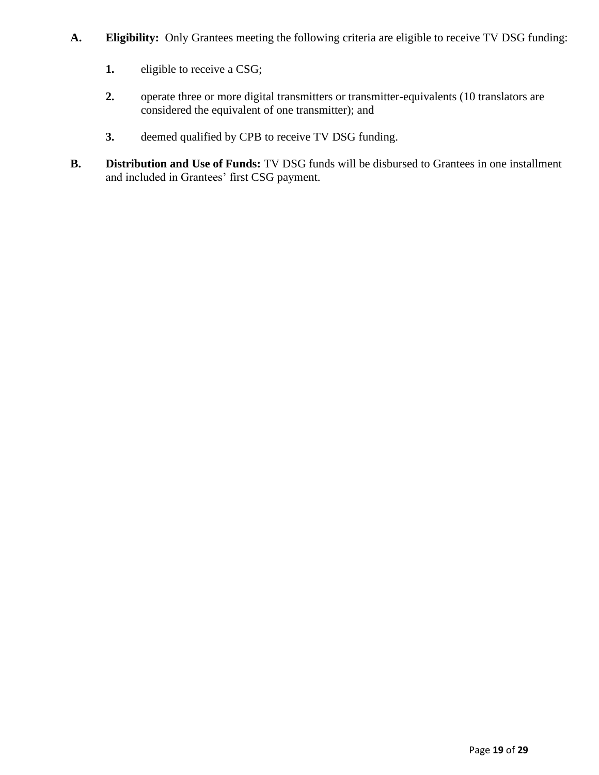- **A. Eligibility:** Only Grantees meeting the following criteria are eligible to receive TV DSG funding:
	- **1.** eligible to receive a CSG;
	- 2. operate three or more digital transmitters or transmitter-equivalents (10 translators are considered the equivalent of one transmitter); and
	- **3.** deemed qualified by CPB to receive TV DSG funding.
- **B. Distribution and Use of Funds:** TV DSG funds will be disbursed to Grantees in one installment and included in Grantees' first CSG payment.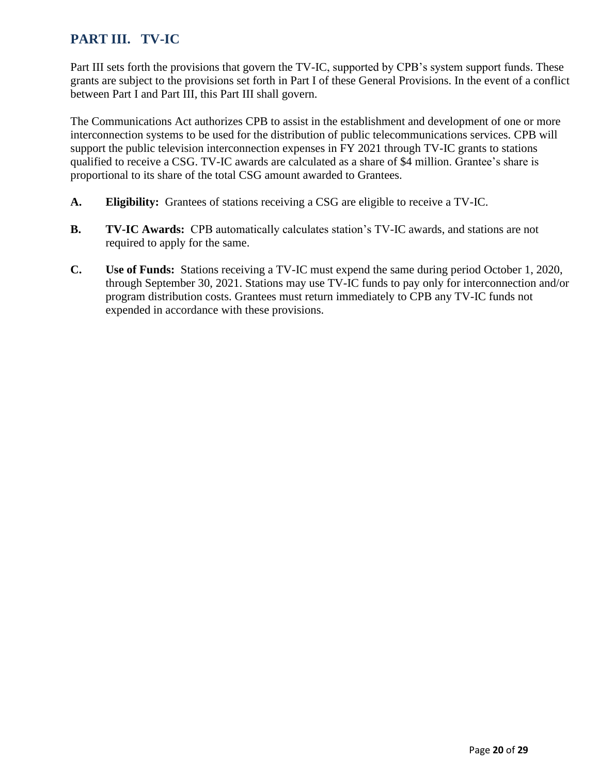# <span id="page-19-0"></span>**PART III. TV-IC**

Part III sets forth the provisions that govern the TV-IC, supported by CPB's system support funds. These grants are subject to the provisions set forth in Part I of these General Provisions. In the event of a conflict between Part I and Part III, this Part III shall govern.

The Communications Act authorizes CPB to assist in the establishment and development of one or more interconnection systems to be used for the distribution of public telecommunications services. CPB will support the public television interconnection expenses in FY 2021 through TV-IC grants to stations qualified to receive a CSG. TV-IC awards are calculated as a share of \$4 million. Grantee's share is proportional to its share of the total CSG amount awarded to Grantees.

- **A. Eligibility:** Grantees of stations receiving a CSG are eligible to receive a TV-IC.
- **B. TV-IC Awards:** CPB automatically calculates station's TV-IC awards, and stations are not required to apply for the same.
- **C. Use of Funds:** Stations receiving a TV-IC must expend the same during period October 1, 2020, through September 30, 2021. Stations may use TV-IC funds to pay only for interconnection and/or program distribution costs. Grantees must return immediately to CPB any TV-IC funds not expended in accordance with these provisions.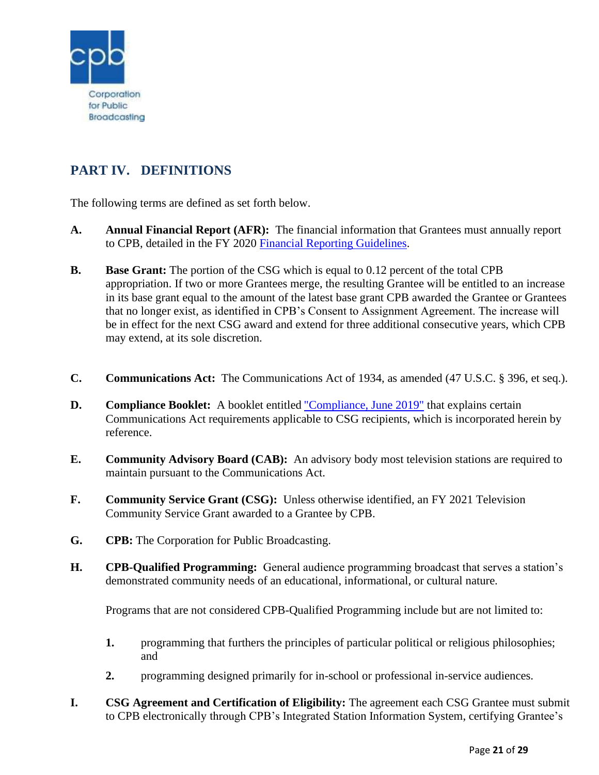

# <span id="page-20-0"></span>**PART IV. DEFINITIONS**

The following terms are defined as set forth below.

- **A. Annual Financial Report (AFR):** The financial information that Grantees must annually report to CPB, detailed in the FY 2020 [Financial Reporting Guidelines.](http://www.cpb.org/stations/frg/)
- **B. Base Grant:** The portion of the CSG which is equal to 0.12 percent of the total CPB appropriation. If two or more Grantees merge, the resulting Grantee will be entitled to an increase in its base grant equal to the amount of the latest base grant CPB awarded the Grantee or Grantees that no longer exist, as identified in CPB's Consent to Assignment Agreement. The increase will be in effect for the next CSG award and extend for three additional consecutive years, which CPB may extend, at its sole discretion.
- **C. Communications Act:** The Communications Act of 1934, as amended (47 U.S.C. § 396, et seq.).
- **D. Compliance Booklet:** A booklet entitled ["Compliance, June 2019"](http://www.cpb.org/stations/certification) that explains certain Communications Act requirements applicable to CSG recipients, which is incorporated herein by reference.
- **E. Community Advisory Board (CAB):** An advisory body most television stations are required to maintain pursuant to the Communications Act.
- **F. Community Service Grant (CSG):** Unless otherwise identified, an FY 2021 Television Community Service Grant awarded to a Grantee by CPB.
- **G. CPB:** The Corporation for Public Broadcasting.
- **H. CPB-Qualified Programming:** General audience programming broadcast that serves a station's demonstrated community needs of an educational, informational, or cultural nature.

Programs that are not considered CPB-Qualified Programming include but are not limited to:

- **1.** programming that furthers the principles of particular political or religious philosophies; and
- **2.** programming designed primarily for in-school or professional in-service audiences.
- **I. CSG Agreement and Certification of Eligibility:** The agreement each CSG Grantee must submit to CPB electronically through CPB's Integrated Station Information System, certifying Grantee's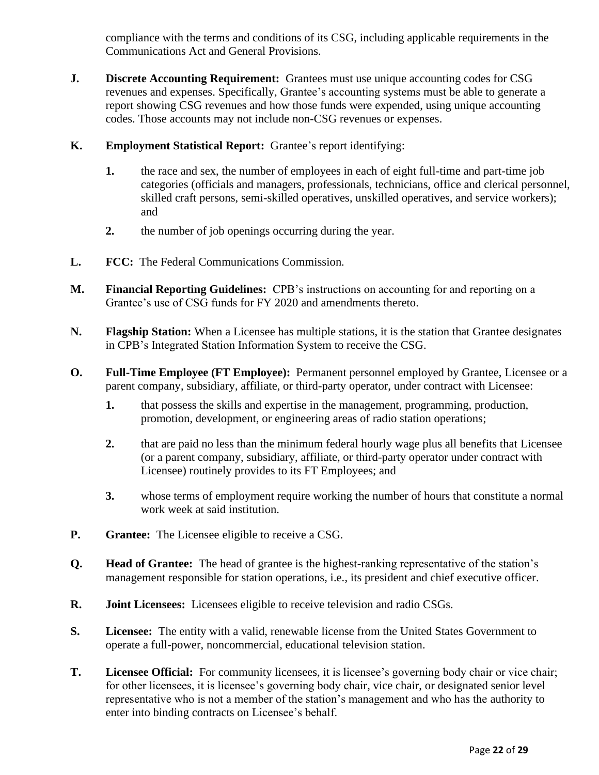compliance with the terms and conditions of its CSG, including applicable requirements in the Communications Act and General Provisions.

- **J. Discrete Accounting Requirement:** Grantees must use unique accounting codes for CSG revenues and expenses. Specifically, Grantee's accounting systems must be able to generate a report showing CSG revenues and how those funds were expended, using unique accounting codes. Those accounts may not include non-CSG revenues or expenses.
- **K. Employment Statistical Report:** Grantee's report identifying:
	- **1.** the race and sex, the number of employees in each of eight full-time and part-time job categories (officials and managers, professionals, technicians, office and clerical personnel, skilled craft persons, semi-skilled operatives, unskilled operatives, and service workers); and
	- **2.** the number of job openings occurring during the year.
- **L. FCC:** The Federal Communications Commission.
- **M. Financial Reporting Guidelines:** CPB's instructions on accounting for and reporting on a Grantee's use of CSG funds for FY 2020 and amendments thereto.
- **N. Flagship Station:** When a Licensee has multiple stations, it is the station that Grantee designates in CPB's Integrated Station Information System to receive the CSG.
- **O. Full-Time Employee (FT Employee):** Permanent personnel employed by Grantee, Licensee or a parent company, subsidiary, affiliate, or third-party operator, under contract with Licensee:
	- **1.** that possess the skills and expertise in the management, programming, production, promotion, development, or engineering areas of radio station operations;
	- **2.** that are paid no less than the minimum federal hourly wage plus all benefits that Licensee (or a parent company, subsidiary, affiliate, or third-party operator under contract with Licensee) routinely provides to its FT Employees; and
	- **3.** whose terms of employment require working the number of hours that constitute a normal work week at said institution.
- **P. Grantee:** The Licensee eligible to receive a CSG.
- **Q. Head of Grantee:** The head of grantee is the highest-ranking representative of the station's management responsible for station operations, i.e., its president and chief executive officer.
- **R. Joint Licensees:** Licensees eligible to receive television and radio CSGs.
- **S. Licensee:** The entity with a valid, renewable license from the United States Government to operate a full-power, noncommercial, educational television station.
- **T. Licensee Official:** For community licensees, it is licensee's governing body chair or vice chair; for other licensees, it is licensee's governing body chair, vice chair, or designated senior level representative who is not a member of the station's management and who has the authority to enter into binding contracts on Licensee's behalf.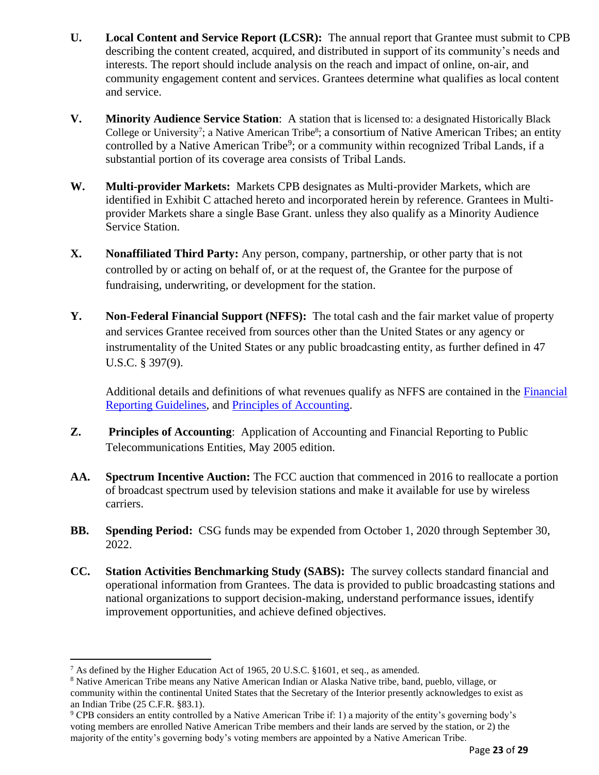- **U. Local Content and Service Report (LCSR):** The annual report that Grantee must submit to CPB describing the content created, acquired, and distributed in support of its community's needs and interests. The report should include analysis on the reach and impact of online, on-air, and community engagement content and services. Grantees determine what qualifies as local content and service.
- **V. Minority Audience Service Station**: A station that is licensed to: a designated Historically Black College or University<sup>7</sup>; a Native American Tribe<sup>8</sup>; a consortium of Native American Tribes; an entity controlled by a Native American Tribe<sup>9</sup>; or a community within recognized Tribal Lands, if a substantial portion of its coverage area consists of Tribal Lands.
- **W. Multi-provider Markets:** Markets CPB designates as Multi-provider Markets, which are identified in Exhibit C attached hereto and incorporated herein by reference. Grantees in Multiprovider Markets share a single Base Grant. unless they also qualify as a Minority Audience Service Station.
- **X. Nonaffiliated Third Party:** Any person, company, partnership, or other party that is not controlled by or acting on behalf of, or at the request of, the Grantee for the purpose of fundraising, underwriting, or development for the station.
- **Y. Non-Federal Financial Support (NFFS):** The total cash and the fair market value of property and services Grantee received from sources other than the United States or any agency or instrumentality of the United States or any public broadcasting entity, as further defined in 47 U.S.C. § 397(9).

Additional details and definitions of what revenues qualify as NFFS are contained in the [Financial](http://www.cpb.org/stations/frg/)  [Reporting Guidelines,](http://www.cpb.org/stations/frg/) and [Principles of Accounting.](http://www.cpb.org/stations/principles/principlesofaccounting050818.pdf)

- **Z. Principles of Accounting**: Application of Accounting and Financial Reporting to Public Telecommunications Entities, May 2005 edition.
- **AA. Spectrum Incentive Auction:** The FCC auction that commenced in 2016 to reallocate a portion of broadcast spectrum used by television stations and make it available for use by wireless carriers.
- **BB. Spending Period:** CSG funds may be expended from October 1, 2020 through September 30, 2022.
- **CC. Station Activities Benchmarking Study (SABS):** The survey collects standard financial and operational information from Grantees. The data is provided to public broadcasting stations and national organizations to support decision-making, understand performance issues, identify improvement opportunities, and achieve defined objectives.

<sup>&</sup>lt;sup>7</sup> As defined by the Higher Education Act of 1965, 20 U.S.C. §1601, et seq., as amended.

<sup>8</sup> Native American Tribe means any Native American Indian or Alaska Native tribe, band, pueblo, village, or community within the continental United States that the Secretary of the Interior presently acknowledges to exist as an Indian Tribe (25 C.F.R. §83.1).

<sup>9</sup> CPB considers an entity controlled by a Native American Tribe if: 1) a majority of the entity's governing body's voting members are enrolled Native American Tribe members and their lands are served by the station, or 2) the majority of the entity's governing body's voting members are appointed by a Native American Tribe.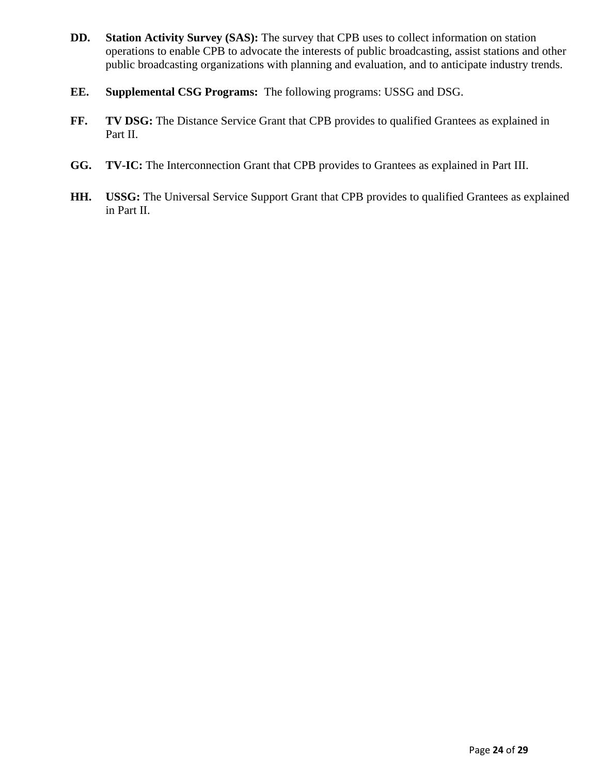- **DD. Station Activity Survey (SAS):** The survey that CPB uses to collect information on station operations to enable CPB to advocate the interests of public broadcasting, assist stations and other public broadcasting organizations with planning and evaluation, and to anticipate industry trends.
- **EE. Supplemental CSG Programs:** The following programs: USSG and DSG.
- **FF. TV DSG:** The Distance Service Grant that CPB provides to qualified Grantees as explained in Part II.
- **GG. TV-IC:** The Interconnection Grant that CPB provides to Grantees as explained in Part III.
- **HH. USSG:** The Universal Service Support Grant that CPB provides to qualified Grantees as explained in Part II.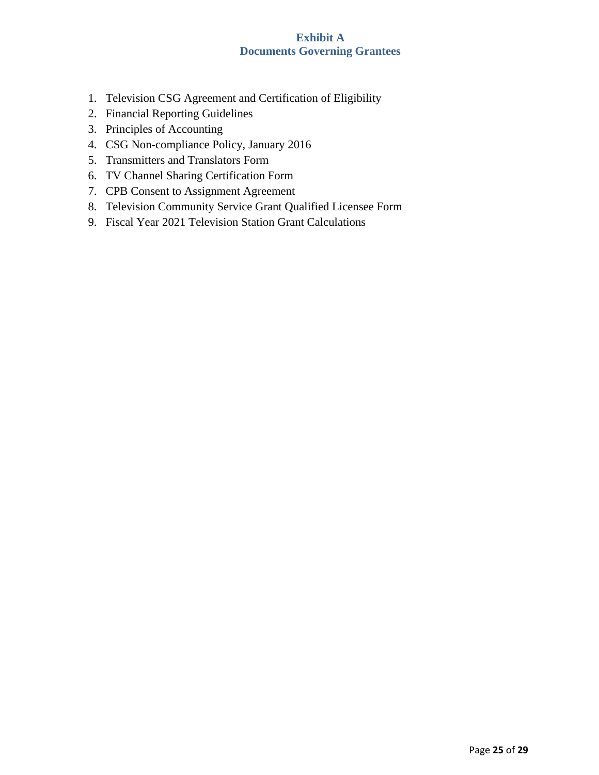# **Exhibit A Documents Governing Grantees**

- <span id="page-24-0"></span>1. Television CSG Agreement and Certification of Eligibility
- 2. Financial Reporting Guidelines
- 3. Principles of Accounting
- 4. CSG Non-compliance Policy, January 2016
- 5. Transmitters and Translators Form
- 6. TV Channel Sharing Certification Form
- 7. CPB Consent to Assignment Agreement
- 8. Television Community Service Grant Qualified Licensee Form
- 9. Fiscal Year 2021 Television Station Grant Calculations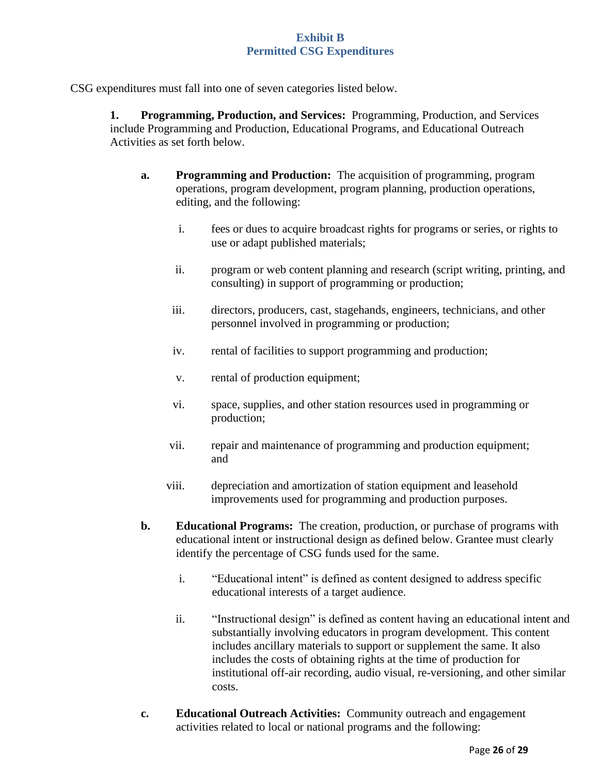<span id="page-25-0"></span>CSG expenditures must fall into one of seven categories listed below.

**1. Programming, Production, and Services:** Programming, Production, and Services include Programming and Production, Educational Programs, and Educational Outreach Activities as set forth below.

- **a. Programming and Production:** The acquisition of programming, program operations, program development, program planning, production operations, editing, and the following:
	- i. fees or dues to acquire broadcast rights for programs or series, or rights to use or adapt published materials;
	- ii. program or web content planning and research (script writing, printing, and consulting) in support of programming or production;
	- iii. directors, producers, cast, stagehands, engineers, technicians, and other personnel involved in programming or production;
	- iv. rental of facilities to support programming and production;
	- v. rental of production equipment;
	- vi. space, supplies, and other station resources used in programming or production;
	- vii. repair and maintenance of programming and production equipment; and
	- viii. depreciation and amortization of station equipment and leasehold improvements used for programming and production purposes.
- **b. Educational Programs:** The creation, production, or purchase of programs with educational intent or instructional design as defined below. Grantee must clearly identify the percentage of CSG funds used for the same.
	- i. "Educational intent" is defined as content designed to address specific educational interests of a target audience.
	- ii. "Instructional design" is defined as content having an educational intent and substantially involving educators in program development. This content includes ancillary materials to support or supplement the same. It also includes the costs of obtaining rights at the time of production for institutional off-air recording, audio visual, re-versioning, and other similar costs.
- **c. Educational Outreach Activities:** Community outreach and engagement activities related to local or national programs and the following: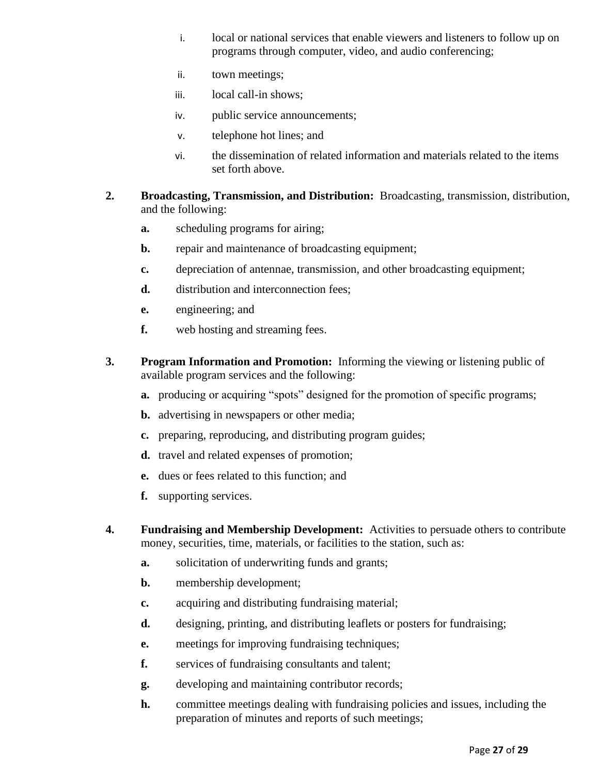- i. local or national services that enable viewers and listeners to follow up on programs through computer, video, and audio conferencing;
- ii. town meetings;
- iii. local call-in shows;
- iv. public service announcements;
- v. telephone hot lines; and
- vi. the dissemination of related information and materials related to the items set forth above.
- **2. Broadcasting, Transmission, and Distribution:** Broadcasting, transmission, distribution, and the following:
	- **a.** scheduling programs for airing;
	- **b.** repair and maintenance of broadcasting equipment;
	- **c.** depreciation of antennae, transmission, and other broadcasting equipment;
	- **d.** distribution and interconnection fees:
	- **e.** engineering; and
	- **f.** web hosting and streaming fees.
- **3. Program Information and Promotion:** Informing the viewing or listening public of available program services and the following:
	- **a.** producing or acquiring "spots" designed for the promotion of specific programs;
	- **b.** advertising in newspapers or other media;
	- **c.** preparing, reproducing, and distributing program guides;
	- **d.** travel and related expenses of promotion;
	- **e.** dues or fees related to this function; and
	- **f.** supporting services.
- **4. Fundraising and Membership Development:** Activities to persuade others to contribute money, securities, time, materials, or facilities to the station, such as:
	- **a.** solicitation of underwriting funds and grants;
	- **b.** membership development;
	- **c.** acquiring and distributing fundraising material;
	- **d.** designing, printing, and distributing leaflets or posters for fundraising;
	- **e.** meetings for improving fundraising techniques;
	- **f.** services of fundraising consultants and talent;
	- **g.** developing and maintaining contributor records;
	- **h.** committee meetings dealing with fundraising policies and issues, including the preparation of minutes and reports of such meetings;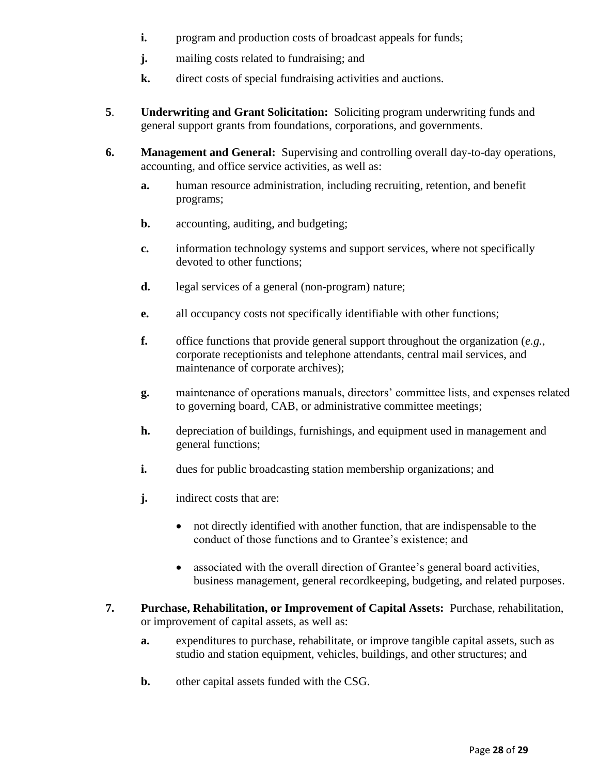- **i.** program and production costs of broadcast appeals for funds;
- **j.** mailing costs related to fundraising; and
- **k.** direct costs of special fundraising activities and auctions.
- **5**. **Underwriting and Grant Solicitation:** Soliciting program underwriting funds and general support grants from foundations, corporations, and governments.
- **6. Management and General:** Supervising and controlling overall day-to-day operations, accounting, and office service activities, as well as:
	- **a.** human resource administration, including recruiting, retention, and benefit programs;
	- **b.** accounting, auditing, and budgeting;
	- **c.** information technology systems and support services, where not specifically devoted to other functions;
	- **d.** legal services of a general (non-program) nature;
	- **e.** all occupancy costs not specifically identifiable with other functions;
	- **f.** office functions that provide general support throughout the organization (*e.g.*, corporate receptionists and telephone attendants, central mail services, and maintenance of corporate archives);
	- **g.** maintenance of operations manuals, directors' committee lists, and expenses related to governing board, CAB, or administrative committee meetings;
	- **h.** depreciation of buildings, furnishings, and equipment used in management and general functions;
	- **i.** dues for public broadcasting station membership organizations; and
	- **j.** indirect costs that are:
		- not directly identified with another function, that are indispensable to the conduct of those functions and to Grantee's existence; and
		- associated with the overall direction of Grantee's general board activities, business management, general recordkeeping, budgeting, and related purposes.
- **7. Purchase, Rehabilitation, or Improvement of Capital Assets:** Purchase, rehabilitation, or improvement of capital assets, as well as:
	- **a.** expenditures to purchase, rehabilitate, or improve tangible capital assets, such as studio and station equipment, vehicles, buildings, and other structures; and
	- **b.** other capital assets funded with the CSG.